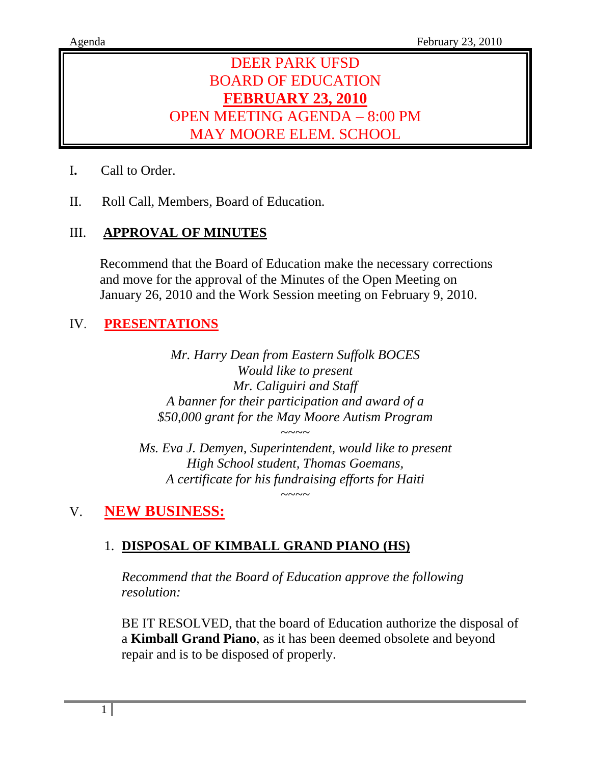# DEER PARK UFSD BOARD OF EDUCATION **FEBRUARY 23, 2010** OPEN MEETING AGENDA – 8:00 PM MAY MOORE ELEM. SCHOOL

- I**.** Call to Order.
- II. Roll Call, Members, Board of Education.

## III. **APPROVAL OF MINUTES**

Recommend that the Board of Education make the necessary corrections and move for the approval of the Minutes of the Open Meeting on January 26, 2010 and the Work Session meeting on February 9, 2010.

## IV. **PRESENTATIONS**

*Mr. Harry Dean from Eastern Suffolk BOCES Would like to present Mr. Caliguiri and Staff A banner for their participation and award of a \$50,000 grant for the May Moore Autism Program* 

*Ms. Eva J. Demyen, Superintendent, would like to present High School student, Thomas Goemans, A certificate for his fundraising efforts for Haiti* 

*~~~~* 

*~~~~* 

## V. **NEW BUSINESS:**

## 1. **DISPOSAL OF KIMBALL GRAND PIANO (HS)**

*Recommend that the Board of Education approve the following resolution:* 

BE IT RESOLVED, that the board of Education authorize the disposal of a **Kimball Grand Piano**, as it has been deemed obsolete and beyond repair and is to be disposed of properly.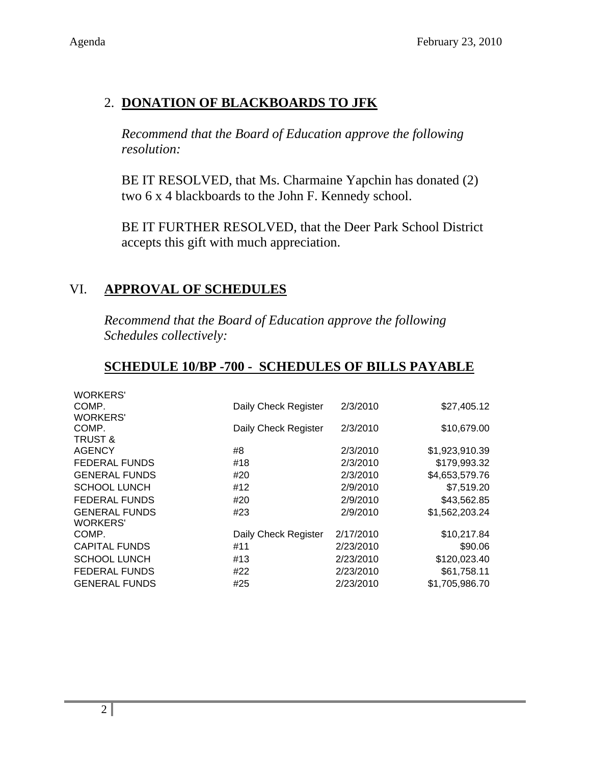# 2. **DONATION OF BLACKBOARDS TO JFK**

*Recommend that the Board of Education approve the following resolution:* 

BE IT RESOLVED, that Ms. Charmaine Yapchin has donated (2) two 6 x 4 blackboards to the John F. Kennedy school.

BE IT FURTHER RESOLVED, that the Deer Park School District accepts this gift with much appreciation.

## VI. **APPROVAL OF SCHEDULES**

*Recommend that the Board of Education approve the following Schedules collectively:* 

#### **SCHEDULE 10/BP -700 - SCHEDULES OF BILLS PAYABLE**

| <b>WORKERS'</b>      |                      |           |                |
|----------------------|----------------------|-----------|----------------|
| COMP.                | Daily Check Register | 2/3/2010  | \$27,405.12    |
| <b>WORKERS'</b>      |                      |           |                |
| COMP.                | Daily Check Register | 2/3/2010  | \$10,679.00    |
| <b>TRUST &amp;</b>   |                      |           |                |
| <b>AGENCY</b>        | #8                   | 2/3/2010  | \$1,923,910.39 |
| <b>FEDERAL FUNDS</b> | #18                  | 2/3/2010  | \$179,993.32   |
| <b>GENERAL FUNDS</b> | #20                  | 2/3/2010  | \$4,653,579.76 |
| <b>SCHOOL LUNCH</b>  | #12                  | 2/9/2010  | \$7,519.20     |
| <b>FEDERAL FUNDS</b> | #20                  | 2/9/2010  | \$43,562.85    |
| <b>GENERAL FUNDS</b> | #23                  | 2/9/2010  | \$1,562,203.24 |
| <b>WORKERS'</b>      |                      |           |                |
| COMP.                | Daily Check Register | 2/17/2010 | \$10,217.84    |
| <b>CAPITAL FUNDS</b> | #11                  | 2/23/2010 | \$90.06        |
| <b>SCHOOL LUNCH</b>  | #13                  | 2/23/2010 | \$120,023.40   |
| <b>FEDERAL FUNDS</b> | #22                  | 2/23/2010 | \$61,758.11    |
| <b>GENERAL FUNDS</b> | #25                  | 2/23/2010 | \$1,705,986.70 |
|                      |                      |           |                |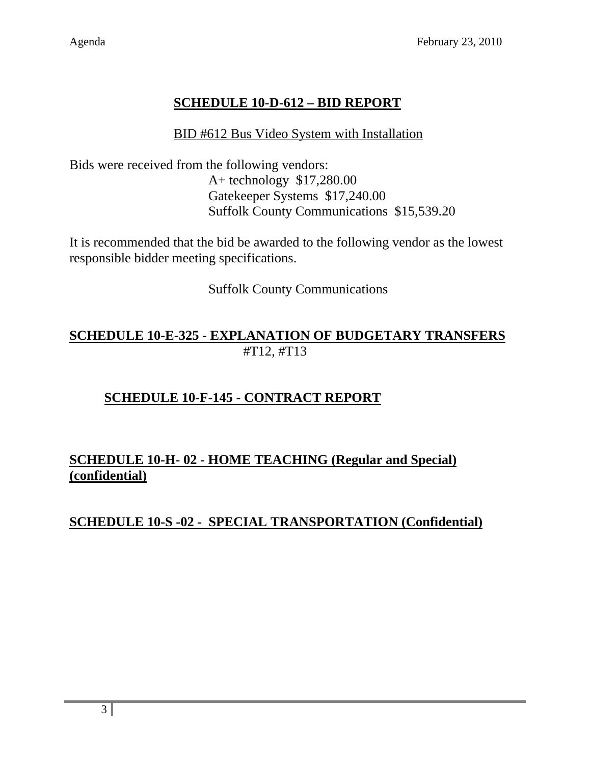# **SCHEDULE 10-D-612 – BID REPORT**

#### BID #612 Bus Video System with Installation

Bids were received from the following vendors: A+ technology \$17,280.00 Gatekeeper Systems \$17,240.00 Suffolk County Communications \$15,539.20

It is recommended that the bid be awarded to the following vendor as the lowest responsible bidder meeting specifications.

Suffolk County Communications

## **SCHEDULE 10-E-325 - EXPLANATION OF BUDGETARY TRANSFERS** #T12, #T13

## **SCHEDULE 10-F-145 - CONTRACT REPORT**

## **SCHEDULE 10-H- 02 - HOME TEACHING (Regular and Special) (confidential)**

## **SCHEDULE 10-S -02 - SPECIAL TRANSPORTATION (Confidential)**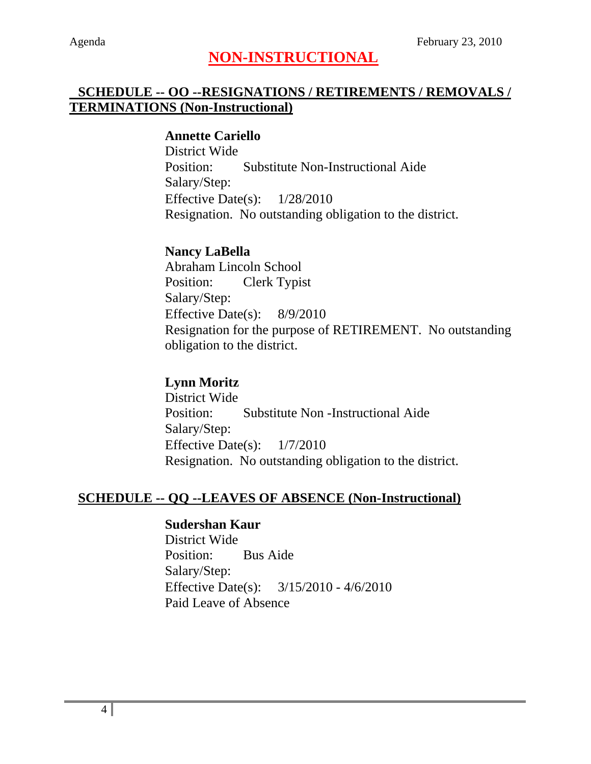# **NON-INSTRUCTIONAL**

## **SCHEDULE -- OO --RESIGNATIONS / RETIREMENTS / REMOVALS / TERMINATIONS (Non-Instructional)**

#### **Annette Cariello**

District Wide Position: Substitute Non-Instructional Aide Salary/Step: Effective Date(s): 1/28/2010 Resignation. No outstanding obligation to the district.

## **Nancy LaBella**

Abraham Lincoln School Position: Clerk Typist Salary/Step: Effective Date(s): 8/9/2010 Resignation for the purpose of RETIREMENT. No outstanding obligation to the district.

## **Lynn Moritz**

District Wide Position: Substitute Non -Instructional Aide Salary/Step: Effective Date(s): 1/7/2010 Resignation. No outstanding obligation to the district.

#### **SCHEDULE -- QQ --LEAVES OF ABSENCE (Non-Instructional)**

#### **Sudershan Kaur**

District Wide Position: Bus Aide Salary/Step: Effective Date(s): 3/15/2010 - 4/6/2010 Paid Leave of Absence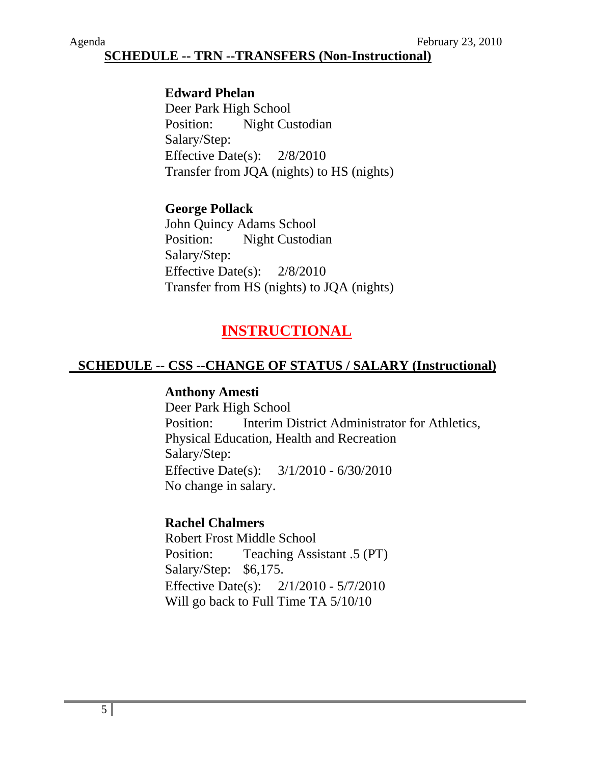## **SCHEDULE -- TRN --TRANSFERS (Non-Instructional)**

#### **Edward Phelan**

Deer Park High School Position: Night Custodian Salary/Step: Effective Date(s): 2/8/2010 Transfer from JQA (nights) to HS (nights)

#### **George Pollack**

John Quincy Adams School Position: Night Custodian Salary/Step: Effective Date(s): 2/8/2010 Transfer from HS (nights) to JQA (nights)

# **INSTRUCTIONAL**

#### **SCHEDULE -- CSS --CHANGE OF STATUS / SALARY (Instructional)**

#### **Anthony Amesti**

Deer Park High School Position: Interim District Administrator for Athletics, Physical Education, Health and Recreation Salary/Step: Effective Date(s): 3/1/2010 - 6/30/2010 No change in salary.

#### **Rachel Chalmers**

Robert Frost Middle School Position: Teaching Assistant .5 (PT) Salary/Step: \$6,175. Effective Date(s): 2/1/2010 - 5/7/2010 Will go back to Full Time TA 5/10/10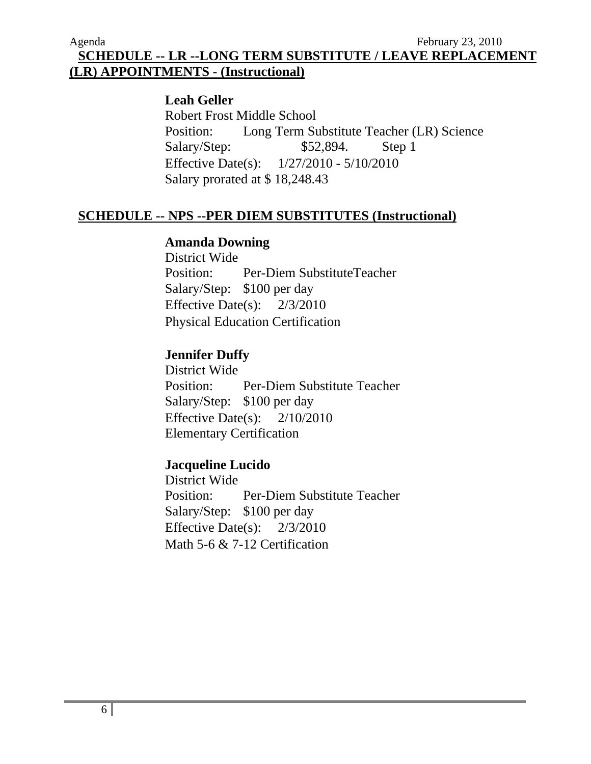**SCHEDULE -- LR --LONG TERM SUBSTITUTE / LEAVE REPLACEMENT (LR) APPOINTMENTS - (Instructional)**

#### **Leah Geller**

Robert Frost Middle School Position: Long Term Substitute Teacher (LR) Science Salary/Step: \$52,894. Step 1 Effective Date(s): 1/27/2010 - 5/10/2010 Salary prorated at \$ 18,248.43

#### **SCHEDULE -- NPS --PER DIEM SUBSTITUTES (Instructional)**

#### **Amanda Downing**

District Wide Position: Per-Diem SubstituteTeacher Salary/Step: \$100 per day Effective Date(s): 2/3/2010 Physical Education Certification

#### **Jennifer Duffy**

District Wide Position: Per-Diem Substitute Teacher Salary/Step: \$100 per day Effective Date(s): 2/10/2010 Elementary Certification

#### **Jacqueline Lucido**

District Wide Position: Per-Diem Substitute Teacher Salary/Step: \$100 per day Effective Date(s): 2/3/2010 Math 5-6 & 7-12 Certification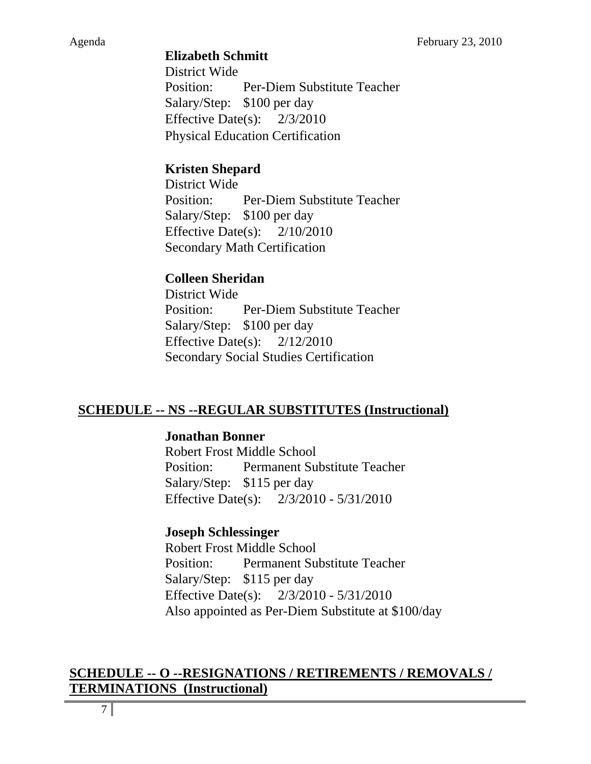#### **Elizabeth Schmitt**

District Wide Position: Per-Diem Substitute Teacher Salary/Step: \$100 per day Effective Date(s): 2/3/2010 Physical Education Certification

## **Kristen Shepard**

District Wide Position: Per-Diem Substitute Teacher Salary/Step: \$100 per day Effective Date(s): 2/10/2010 Secondary Math Certification

## **Colleen Sheridan**

District Wide Position: Per-Diem Substitute Teacher Salary/Step: \$100 per day Effective Date(s): 2/12/2010 Secondary Social Studies Certification

## **SCHEDULE -- NS --REGULAR SUBSTITUTES (Instructional)**

#### **Jonathan Bonner**

Robert Frost Middle School Position: Permanent Substitute Teacher Salary/Step: \$115 per day Effective Date(s): 2/3/2010 - 5/31/2010

## **Joseph Schlessinger**

Robert Frost Middle School Position: Permanent Substitute Teacher Salary/Step: \$115 per day Effective Date(s): 2/3/2010 - 5/31/2010 Also appointed as Per-Diem Substitute at \$100/day

#### **SCHEDULE -- O --RESIGNATIONS / RETIREMENTS / REMOVALS / TERMINATIONS (Instructional)**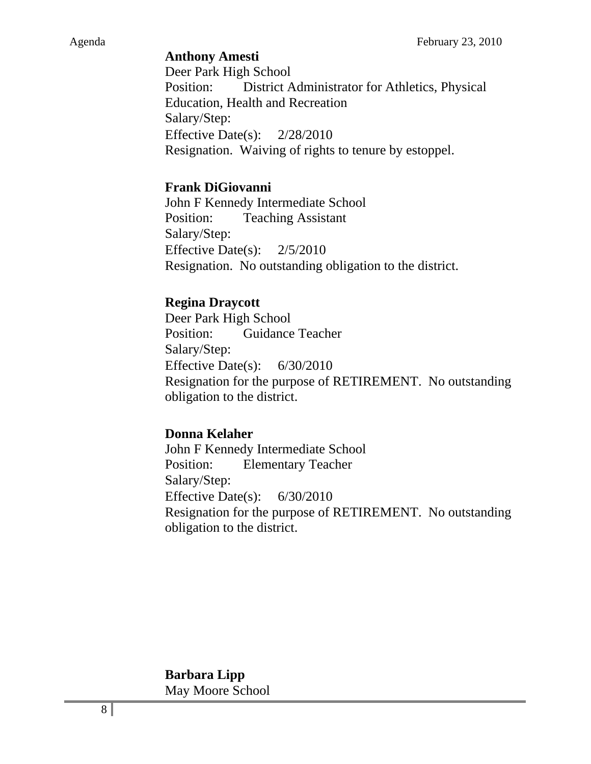#### **Anthony Amesti**

Deer Park High School Position: District Administrator for Athletics, Physical Education, Health and Recreation Salary/Step: Effective Date(s): 2/28/2010 Resignation. Waiving of rights to tenure by estoppel.

#### **Frank DiGiovanni**

John F Kennedy Intermediate School Position: Teaching Assistant Salary/Step: Effective Date(s): 2/5/2010 Resignation. No outstanding obligation to the district.

#### **Regina Draycott**

Deer Park High School Position: Guidance Teacher Salary/Step: Effective Date(s): 6/30/2010 Resignation for the purpose of RETIREMENT. No outstanding obligation to the district.

#### **Donna Kelaher**

John F Kennedy Intermediate School Position: Elementary Teacher Salary/Step: Effective Date(s): 6/30/2010 Resignation for the purpose of RETIREMENT. No outstanding obligation to the district.

#### **Barbara Lipp**  May Moore School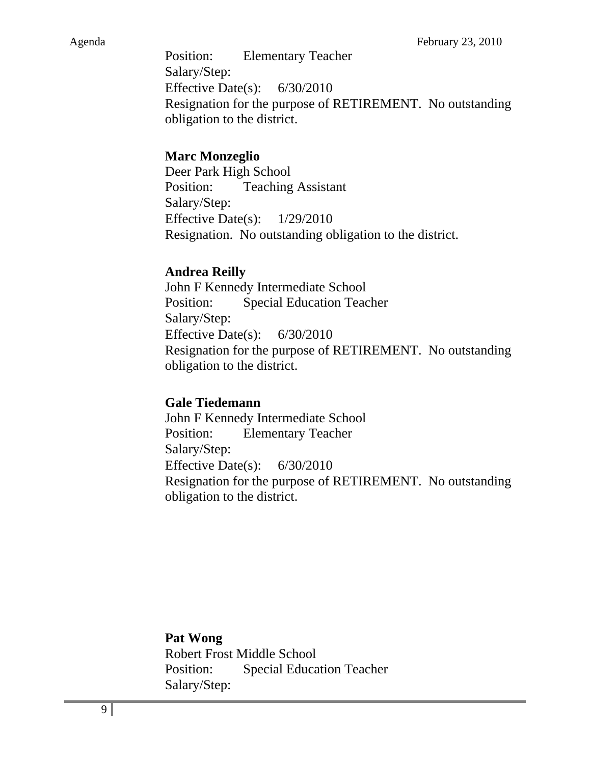Position: Elementary Teacher Salary/Step: Effective Date(s): 6/30/2010 Resignation for the purpose of RETIREMENT. No outstanding obligation to the district.

## **Marc Monzeglio**

Deer Park High School Position: Teaching Assistant Salary/Step: Effective Date(s): 1/29/2010 Resignation. No outstanding obligation to the district.

## **Andrea Reilly**

John F Kennedy Intermediate School Position: Special Education Teacher Salary/Step: Effective Date(s): 6/30/2010 Resignation for the purpose of RETIREMENT. No outstanding obligation to the district.

## **Gale Tiedemann**

John F Kennedy Intermediate School Position: Elementary Teacher Salary/Step: Effective Date(s): 6/30/2010 Resignation for the purpose of RETIREMENT. No outstanding obligation to the district.

## **Pat Wong**

Robert Frost Middle School Position: Special Education Teacher Salary/Step: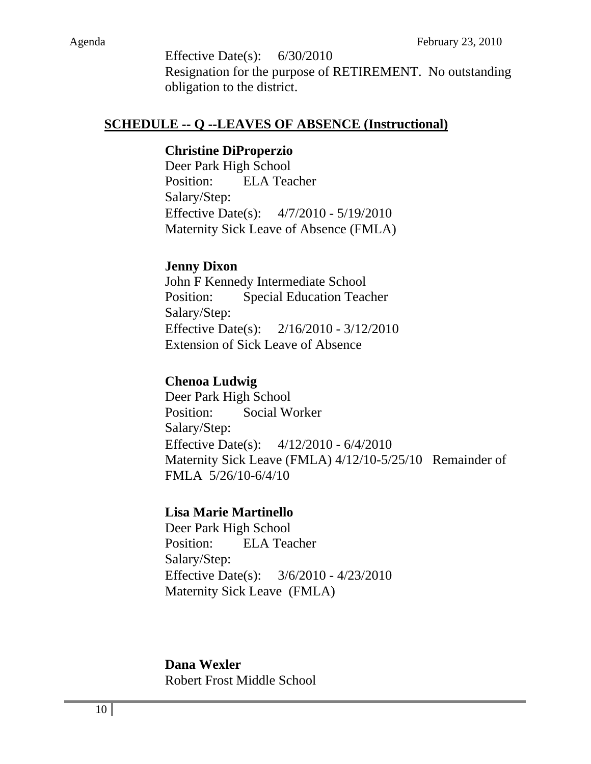Effective Date(s):  $6/30/2010$ Resignation for the purpose of RETIREMENT. No outstanding obligation to the district.

#### **SCHEDULE -- Q --LEAVES OF ABSENCE (Instructional)**

#### **Christine DiProperzio**

Deer Park High School Position: ELA Teacher Salary/Step: Effective Date(s): 4/7/2010 - 5/19/2010 Maternity Sick Leave of Absence (FMLA)

#### **Jenny Dixon**

John F Kennedy Intermediate School Position: Special Education Teacher Salary/Step: Effective Date(s): 2/16/2010 - 3/12/2010 Extension of Sick Leave of Absence

#### **Chenoa Ludwig**

Deer Park High School Position: Social Worker Salary/Step: Effective Date(s): 4/12/2010 - 6/4/2010 Maternity Sick Leave (FMLA) 4/12/10-5/25/10 Remainder of FMLA 5/26/10-6/4/10

#### **Lisa Marie Martinello**

Deer Park High School Position: ELA Teacher Salary/Step: Effective Date(s): 3/6/2010 - 4/23/2010 Maternity Sick Leave (FMLA)

#### **Dana Wexler**

Robert Frost Middle School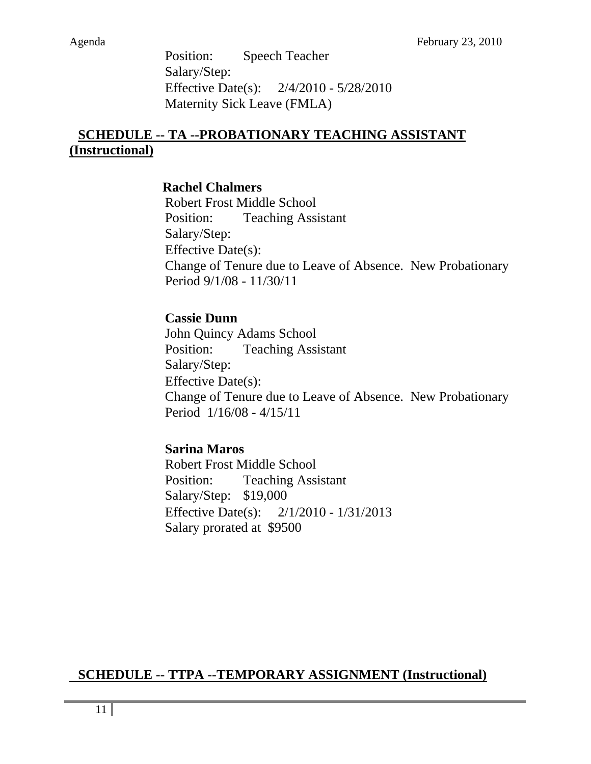Position: Speech Teacher Salary/Step: Effective Date(s): 2/4/2010 - 5/28/2010 Maternity Sick Leave (FMLA)

## **SCHEDULE -- TA --PROBATIONARY TEACHING ASSISTANT (Instructional)**

#### **Rachel Chalmers**

Robert Frost Middle School Position: Teaching Assistant Salary/Step: Effective Date(s): Change of Tenure due to Leave of Absence. New Probationary Period 9/1/08 - 11/30/11

#### **Cassie Dunn**

John Quincy Adams School Position: Teaching Assistant Salary/Step: Effective Date(s): Change of Tenure due to Leave of Absence. New Probationary Period 1/16/08 - 4/15/11

#### **Sarina Maros**

Robert Frost Middle School Position: Teaching Assistant Salary/Step: \$19,000 Effective Date(s): 2/1/2010 - 1/31/2013 Salary prorated at \$9500

## **SCHEDULE -- TTPA --TEMPORARY ASSIGNMENT (Instructional)**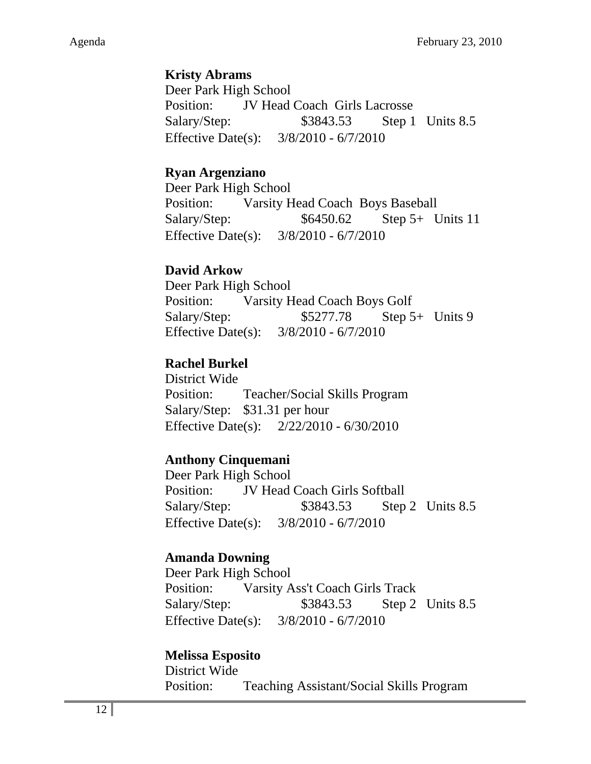## **Kristy Abrams**

Deer Park High School Position: JV Head Coach Girls Lacrosse Salary/Step: \$3843.53 Step 1 Units 8.5 Effective Date(s): 3/8/2010 - 6/7/2010

## **Ryan Argenziano**

Deer Park High School Position: Varsity Head Coach Boys Baseball Salary/Step: \$6450.62 Step 5+ Units 11 Effective Date(s): 3/8/2010 - 6/7/2010

## **David Arkow**

Deer Park High School Position: Varsity Head Coach Boys Golf Salary/Step:  $$5277.78$  Step 5+ Units 9 Effective Date(s): 3/8/2010 - 6/7/2010

## **Rachel Burkel**

District Wide Position: Teacher/Social Skills Program Salary/Step: \$31.31 per hour Effective Date(s): 2/22/2010 - 6/30/2010

## **Anthony Cinquemani**

Deer Park High School Position: JV Head Coach Girls Softball Salary/Step: \$3843.53 Step 2 Units 8.5 Effective Date(s): 3/8/2010 - 6/7/2010

## **Amanda Downing**

Deer Park High School Position: Varsity Ass't Coach Girls Track Salary/Step: \$3843.53 Step 2 Units 8.5 Effective Date(s): 3/8/2010 - 6/7/2010

## **Melissa Esposito**

District Wide Position: Teaching Assistant/Social Skills Program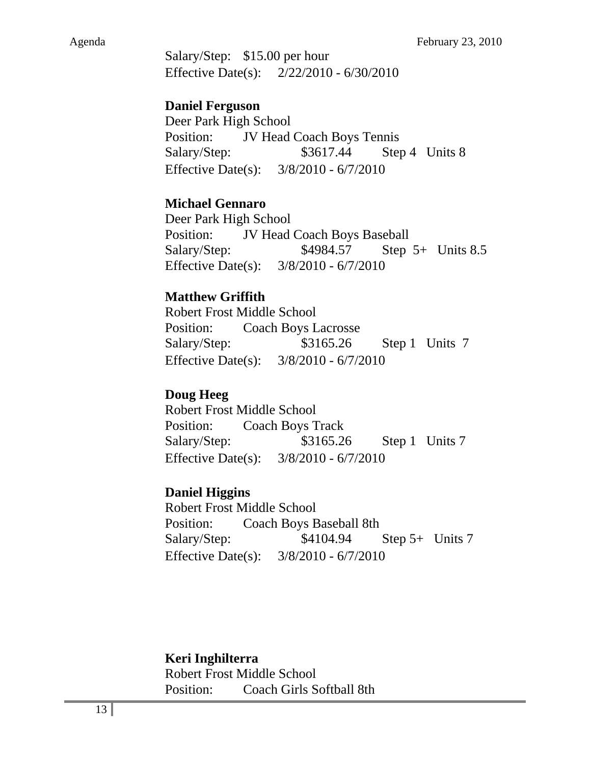Salary/Step: \$15.00 per hour Effective Date(s): 2/22/2010 - 6/30/2010

## **Daniel Ferguson**

Deer Park High School Position: JV Head Coach Boys Tennis Salary/Step: \$3617.44 Step 4 Units 8 Effective Date(s): 3/8/2010 - 6/7/2010

## **Michael Gennaro**

Deer Park High School Position: JV Head Coach Boys Baseball Salary/Step: \$4984.57 Step 5+ Units 8.5 Effective Date(s): 3/8/2010 - 6/7/2010

## **Matthew Griffith**

Robert Frost Middle School Position: Coach Boys Lacrosse Salary/Step: \$3165.26 Step 1 Units 7 Effective Date(s): 3/8/2010 - 6/7/2010

## **Doug Heeg**

Robert Frost Middle School Position: Coach Boys Track Salary/Step: \$3165.26 Step 1 Units 7 Effective Date(s): 3/8/2010 - 6/7/2010

## **Daniel Higgins**

Robert Frost Middle School Position: Coach Boys Baseball 8th Salary/Step:  $$4104.94$  Step 5+ Units 7 Effective Date(s): 3/8/2010 - 6/7/2010

## **Keri Inghilterra**

Robert Frost Middle School Position: Coach Girls Softball 8th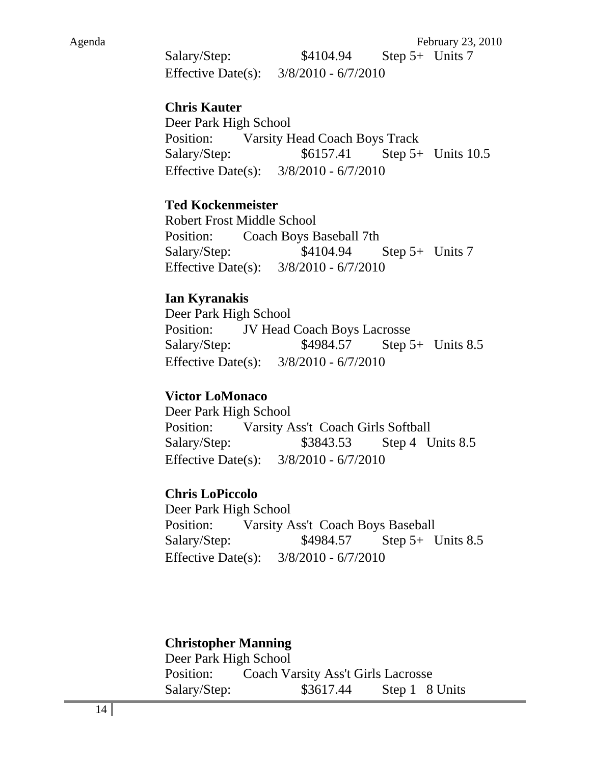Salary/Step: \$4104.94 Step 5+ Units 7 Effective Date(s): 3/8/2010 - 6/7/2010

#### **Chris Kauter**

Deer Park High School Position: Varsity Head Coach Boys Track Salary/Step: \$6157.41 Step 5+ Units 10.5 Effective Date(s): 3/8/2010 - 6/7/2010

#### **Ted Kockenmeister**

Robert Frost Middle School Position: Coach Boys Baseball 7th Salary/Step:  $$4104.94$  Step 5+ Units 7 Effective Date(s): 3/8/2010 - 6/7/2010

#### **Ian Kyranakis**

Deer Park High School Position: JV Head Coach Boys Lacrosse Salary/Step: \$4984.57 Step 5+ Units 8.5 Effective Date(s): 3/8/2010 - 6/7/2010

#### **Victor LoMonaco**

Deer Park High School Position: Varsity Ass't Coach Girls Softball Salary/Step: \$3843.53 Step 4 Units 8.5 Effective Date(s): 3/8/2010 - 6/7/2010

#### **Chris LoPiccolo**

Deer Park High School Position: Varsity Ass't Coach Boys Baseball Salary/Step: \$4984.57 Step 5+ Units 8.5 Effective Date(s): 3/8/2010 - 6/7/2010

#### **Christopher Manning**

Deer Park High School Position: Coach Varsity Ass't Girls Lacrosse Salary/Step: \$3617.44 Step 1 8 Units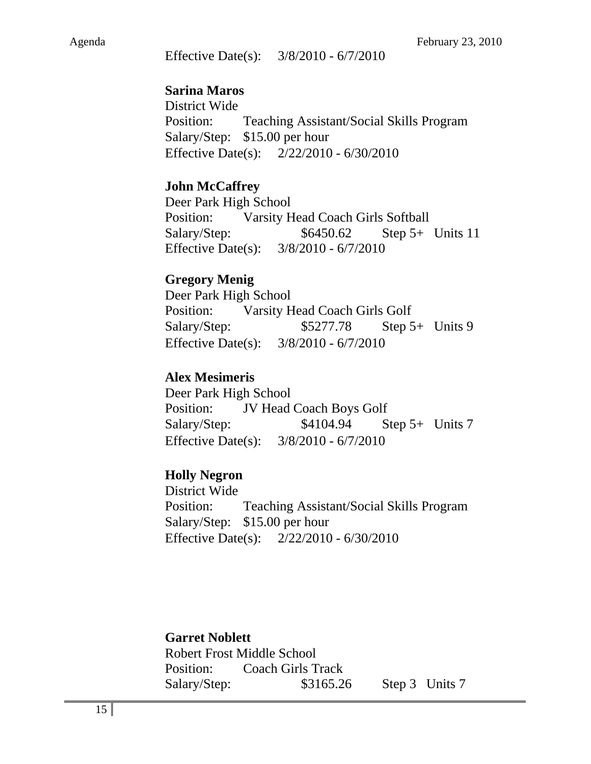Effective Date(s): 3/8/2010 - 6/7/2010

#### **Sarina Maros**

District Wide Position: Teaching Assistant/Social Skills Program Salary/Step: \$15.00 per hour Effective Date(s): 2/22/2010 - 6/30/2010

#### **John McCaffrey**

Deer Park High School Position: Varsity Head Coach Girls Softball Salary/Step:  $$6450.62$  Step 5+ Units 11 Effective Date(s): 3/8/2010 - 6/7/2010

#### **Gregory Menig**

Deer Park High School Position: Varsity Head Coach Girls Golf Salary/Step:  $$5277.78$  Step 5+ Units 9 Effective Date(s): 3/8/2010 - 6/7/2010

#### **Alex Mesimeris**

Deer Park High School Position: JV Head Coach Boys Golf Salary/Step:  $$4104.94$  Step 5+ Units 7 Effective Date(s): 3/8/2010 - 6/7/2010

#### **Holly Negron**

District Wide Position: Teaching Assistant/Social Skills Program Salary/Step: \$15.00 per hour Effective Date(s): 2/22/2010 - 6/30/2010

## **Garret Noblett**

Robert Frost Middle School Position: Coach Girls Track Salary/Step: \$3165.26 Step 3 Units 7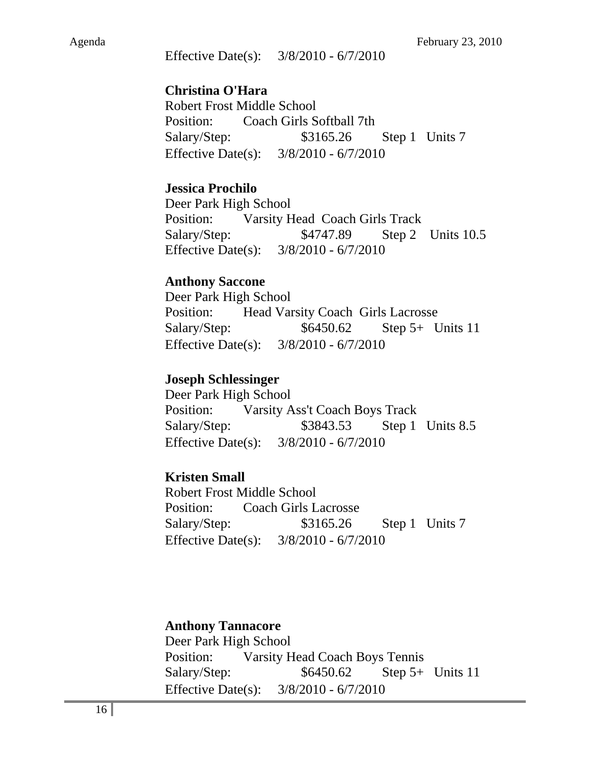Effective Date(s): 3/8/2010 - 6/7/2010

#### **Christina O'Hara**

Robert Frost Middle School Position: Coach Girls Softball 7th Salary/Step: \$3165.26 Step 1 Units 7 Effective Date(s): 3/8/2010 - 6/7/2010

#### **Jessica Prochilo**

Deer Park High School Position: Varsity Head Coach Girls Track Salary/Step: \$4747.89 Step 2 Units 10.5 Effective Date(s): 3/8/2010 - 6/7/2010

#### **Anthony Saccone**

Deer Park High School Position: Head Varsity Coach Girls Lacrosse Salary/Step:  $$6450.62$  Step 5+ Units 11 Effective Date(s): 3/8/2010 - 6/7/2010

#### **Joseph Schlessinger**

Deer Park High School Position: Varsity Ass't Coach Boys Track Salary/Step: \$3843.53 Step 1 Units 8.5 Effective Date(s): 3/8/2010 - 6/7/2010

#### **Kristen Small**

Robert Frost Middle School Position: Coach Girls Lacrosse Salary/Step: \$3165.26 Step 1 Units 7 Effective Date(s): 3/8/2010 - 6/7/2010

**Anthony Tannacore**  Deer Park High School Position: Varsity Head Coach Boys Tennis Salary/Step:  $$6450.62$  Step 5+ Units 11 Effective Date(s): 3/8/2010 - 6/7/2010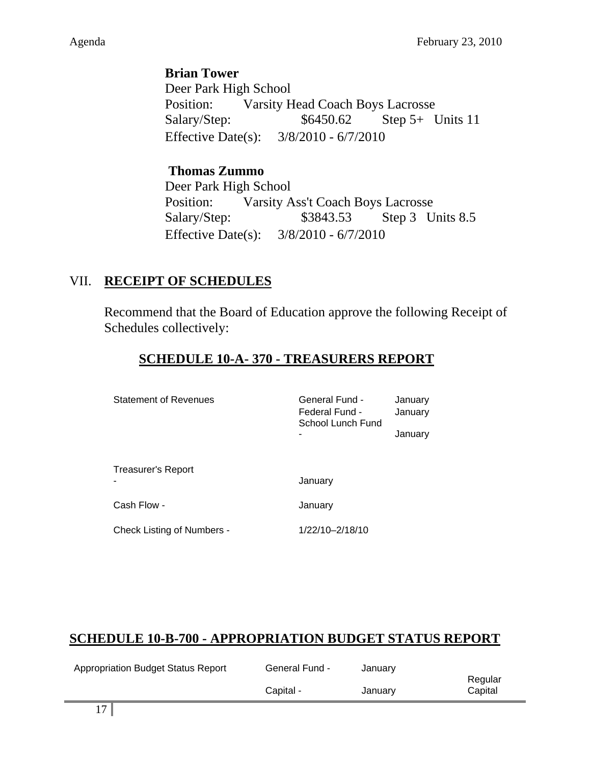**Brian Tower**  Deer Park High School Position: Varsity Head Coach Boys Lacrosse Salary/Step:  $$6450.62$  Step 5+ Units 11 Effective Date(s): 3/8/2010 - 6/7/2010

## **Thomas Zummo**  Deer Park High School Position: Varsity Ass't Coach Boys Lacrosse Salary/Step: \$3843.53 Step 3 Units 8.5 Effective Date(s): 3/8/2010 - 6/7/2010

# VII. **RECEIPT OF SCHEDULES**

Recommend that the Board of Education approve the following Receipt of Schedules collectively:

# **SCHEDULE 10-A- 370 - TREASURERS REPORT**

| <b>Statement of Revenues</b>      | General Fund -<br>Federal Fund -<br>School Lunch Fund | January<br>January<br>January |
|-----------------------------------|-------------------------------------------------------|-------------------------------|
| <b>Treasurer's Report</b>         | January                                               |                               |
| Cash Flow -                       | January                                               |                               |
| <b>Check Listing of Numbers -</b> | 1/22/10-2/18/10                                       |                               |

# **SCHEDULE 10-B-700 - APPROPRIATION BUDGET STATUS REPORT**

| <b>Appropriation Budget Status Report</b> | <b>General Fund -</b> | January |         |
|-------------------------------------------|-----------------------|---------|---------|
|                                           |                       |         | Regular |
|                                           | Capital -             | January | Capital |